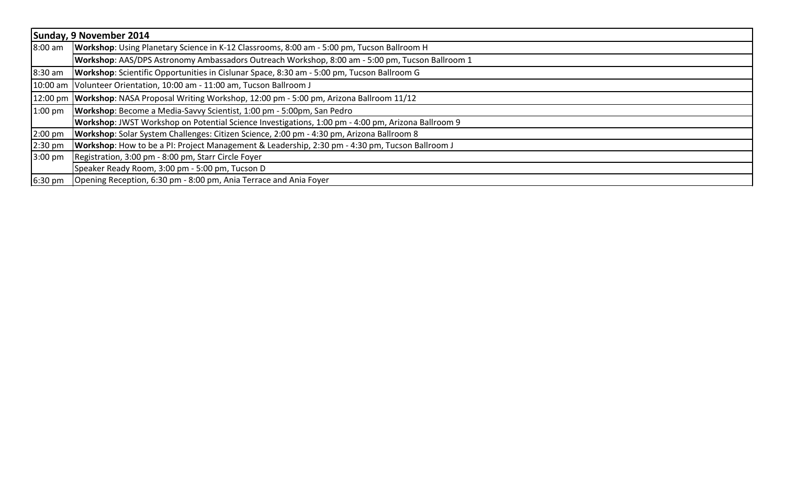|                   | Sunday, 9 November 2014                                                                            |  |
|-------------------|----------------------------------------------------------------------------------------------------|--|
| $8:00 \text{ am}$ | Workshop: Using Planetary Science in K-12 Classrooms, 8:00 am - 5:00 pm, Tucson Ballroom H         |  |
|                   | Workshop: AAS/DPS Astronomy Ambassadors Outreach Workshop, 8:00 am - 5:00 pm, Tucson Ballroom 1    |  |
| $8:30$ am         | Workshop: Scientific Opportunities in Cislunar Space, 8:30 am - 5:00 pm, Tucson Ballroom G         |  |
|                   | 10:00 am Volunteer Orientation, 10:00 am - 11:00 am, Tucson Ballroom J                             |  |
|                   | 12:00 pm Workshop: NASA Proposal Writing Workshop, 12:00 pm - 5:00 pm, Arizona Ballroom 11/12      |  |
| $1:00$ pm         | Workshop: Become a Media-Savvy Scientist, 1:00 pm - 5:00pm, San Pedro                              |  |
|                   | Workshop: JWST Workshop on Potential Science Investigations, 1:00 pm - 4:00 pm, Arizona Ballroom 9 |  |
| $2:00 \text{ pm}$ | Workshop: Solar System Challenges: Citizen Science, 2:00 pm - 4:30 pm, Arizona Ballroom 8          |  |
| $2:30 \text{ pm}$ | Workshop: How to be a PI: Project Management & Leadership, 2:30 pm - 4:30 pm, Tucson Ballroom J    |  |
| $3:00 \text{ pm}$ | Registration, 3:00 pm - 8:00 pm, Starr Circle Foyer                                                |  |
|                   | Speaker Ready Room, 3:00 pm - 5:00 pm, Tucson D                                                    |  |
| $6:30 \text{ pm}$ | Opening Reception, 6:30 pm - 8:00 pm, Ania Terrace and Ania Foyer                                  |  |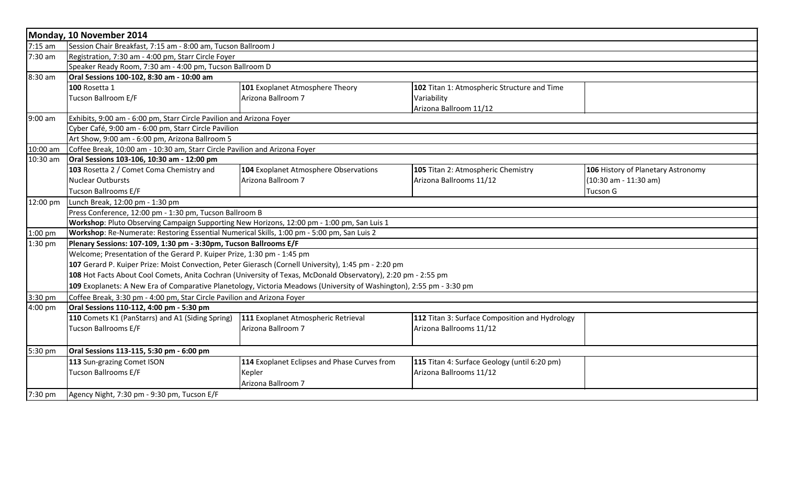|    | 106 History of Planetary Astronomy      |
|----|-----------------------------------------|
|    | $(10:30 \text{ am} - 11:30 \text{ am})$ |
|    | <b>Tucson G</b>                         |
|    |                                         |
|    |                                         |
|    |                                         |
|    |                                         |
|    |                                         |
|    |                                         |
|    |                                         |
|    |                                         |
|    |                                         |
|    |                                         |
|    |                                         |
| gy |                                         |
|    |                                         |
|    |                                         |
|    |                                         |
|    |                                         |
|    |                                         |
|    |                                         |
|    |                                         |
|    |                                         |
|    |                                         |

|            | Monday, 10 November 2014                                                                                             |                                                          |                                                |  |  |
|------------|----------------------------------------------------------------------------------------------------------------------|----------------------------------------------------------|------------------------------------------------|--|--|
| $7:15$ am  | Session Chair Breakfast, 7:15 am - 8:00 am, Tucson Ballroom J                                                        |                                                          |                                                |  |  |
| $7:30$ am  | Registration, 7:30 am - 4:00 pm, Starr Circle Foyer                                                                  |                                                          |                                                |  |  |
|            |                                                                                                                      | Speaker Ready Room, 7:30 am - 4:00 pm, Tucson Ballroom D |                                                |  |  |
| 8:30 am    | Oral Sessions 100-102, 8:30 am - 10:00 am                                                                            |                                                          |                                                |  |  |
|            | 100 Rosetta 1                                                                                                        | 101 Exoplanet Atmosphere Theory                          | 102 Titan 1: Atmospheric Structure and Time    |  |  |
|            | Tucson Ballroom E/F                                                                                                  | Arizona Ballroom 7                                       | Variability                                    |  |  |
|            |                                                                                                                      |                                                          | Arizona Ballroom 11/12                         |  |  |
| $9:00$ am  | Exhibits, 9:00 am - 6:00 pm, Starr Circle Pavilion and Arizona Foyer                                                 |                                                          |                                                |  |  |
|            | Cyber Café, 9:00 am - 6:00 pm, Starr Circle Pavilion                                                                 |                                                          |                                                |  |  |
|            | Art Show, 9:00 am - 6:00 pm, Arizona Ballroom 5                                                                      |                                                          |                                                |  |  |
| $10:00$ am | Coffee Break, 10:00 am - 10:30 am, Starr Circle Pavilion and Arizona Foyer                                           |                                                          |                                                |  |  |
| $10:30$ am | Oral Sessions 103-106, 10:30 am - 12:00 pm                                                                           |                                                          |                                                |  |  |
|            | 103 Rosetta 2 / Comet Coma Chemistry and                                                                             | 104 Exoplanet Atmosphere Observations                    | 105 Titan 2: Atmospheric Chemistry             |  |  |
|            | <b>Nuclear Outbursts</b>                                                                                             | Arizona Ballroom 7                                       | Arizona Ballrooms 11/12                        |  |  |
|            | Tucson Ballrooms E/F                                                                                                 |                                                          |                                                |  |  |
| 12:00 pm   | Lunch Break, 12:00 pm - 1:30 pm                                                                                      |                                                          |                                                |  |  |
|            | Press Conference, 12:00 pm - 1:30 pm, Tucson Ballroom B                                                              |                                                          |                                                |  |  |
|            | Workshop: Pluto Observing Campaign Supporting New Horizons, 12:00 pm - 1:00 pm, San Luis 1                           |                                                          |                                                |  |  |
| 1:00 pm    | Workshop: Re-Numerate: Restoring Essential Numerical Skills, 1:00 pm - 5:00 pm, San Luis 2                           |                                                          |                                                |  |  |
| $1:30$ pm  | Plenary Sessions: 107-109, 1:30 pm - 3:30pm, Tucson Ballrooms E/F                                                    |                                                          |                                                |  |  |
|            | Welcome; Presentation of the Gerard P. Kuiper Prize, 1:30 pm - 1:45 pm                                               |                                                          |                                                |  |  |
|            | 107 Gerard P. Kuiper Prize: Moist Convection, Peter Gierasch (Cornell University), 1:45 pm - 2:20 pm                 |                                                          |                                                |  |  |
|            | 108 Hot Facts About Cool Comets, Anita Cochran (University of Texas, McDonald Observatory), 2:20 pm - 2:55 pm        |                                                          |                                                |  |  |
|            | 109 Exoplanets: A New Era of Comparative Planetology, Victoria Meadows (University of Washington), 2:55 pm - 3:30 pm |                                                          |                                                |  |  |
| 3:30 pm    | Coffee Break, 3:30 pm - 4:00 pm, Star Circle Pavilion and Arizona Foyer                                              |                                                          |                                                |  |  |
| 4:00 pm    | Oral Sessions 110-112, 4:00 pm - 5:30 pm                                                                             |                                                          |                                                |  |  |
|            | 110 Comets K1 (PanStarrs) and A1 (Siding Spring)                                                                     | 111 Exoplanet Atmospheric Retrieval                      | 112 Titan 3: Surface Composition and Hydrology |  |  |
|            | <b>Tucson Ballrooms E/F</b>                                                                                          | Arizona Ballroom 7                                       | Arizona Ballrooms 11/12                        |  |  |
|            |                                                                                                                      |                                                          |                                                |  |  |
| 5:30 pm    | Oral Sessions 113-115, 5:30 pm - 6:00 pm                                                                             |                                                          |                                                |  |  |
|            | 113 Sun-grazing Comet ISON                                                                                           | 114 Exoplanet Eclipses and Phase Curves from             | 115 Titan 4: Surface Geology (until 6:20 pm)   |  |  |
|            | Tucson Ballrooms E/F                                                                                                 | Kepler                                                   | Arizona Ballrooms 11/12                        |  |  |
|            |                                                                                                                      | Arizona Ballroom 7                                       |                                                |  |  |
| 7:30 pm    | Agency Night, 7:30 pm - 9:30 pm, Tucson E/F                                                                          |                                                          |                                                |  |  |
|            |                                                                                                                      |                                                          |                                                |  |  |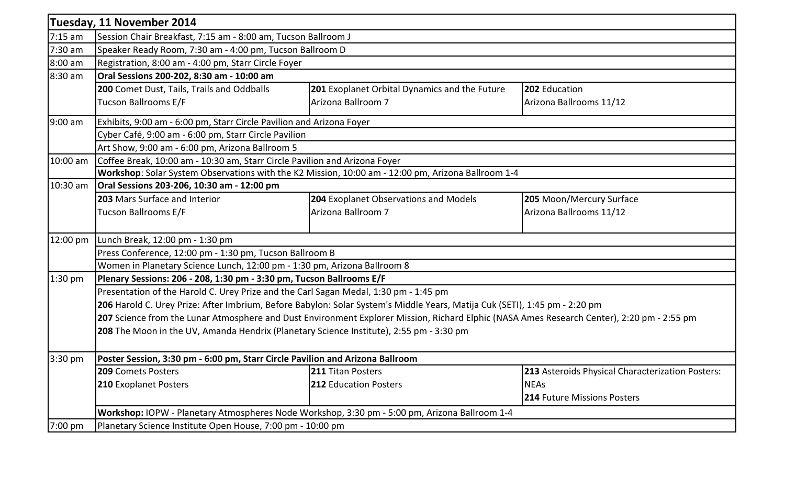|                                                                                                                                                                                              | Tuesday, 11 November 2014                                                                                                                  |                                               |                                                  |  |  |
|----------------------------------------------------------------------------------------------------------------------------------------------------------------------------------------------|--------------------------------------------------------------------------------------------------------------------------------------------|-----------------------------------------------|--------------------------------------------------|--|--|
| 7:15 am                                                                                                                                                                                      | Session Chair Breakfast, 7:15 am - 8:00 am, Tucson Ballroom J                                                                              |                                               |                                                  |  |  |
| 7:30 am                                                                                                                                                                                      | Speaker Ready Room, 7:30 am - 4:00 pm, Tucson Ballroom D                                                                                   |                                               |                                                  |  |  |
| 8:00 am                                                                                                                                                                                      | Registration, 8:00 am - 4:00 pm, Starr Circle Foyer                                                                                        |                                               |                                                  |  |  |
| $8:30$ am                                                                                                                                                                                    | Oral Sessions 200-202, 8:30 am - 10:00 am                                                                                                  |                                               |                                                  |  |  |
|                                                                                                                                                                                              | 200 Comet Dust, Tails, Trails and Oddballs                                                                                                 | 201 Exoplanet Orbital Dynamics and the Future | 202 Education                                    |  |  |
|                                                                                                                                                                                              | <b>Tucson Ballrooms E/F</b>                                                                                                                | Arizona Ballroom 7                            | Arizona Ballrooms 11/12                          |  |  |
| $9:00$ am                                                                                                                                                                                    | Exhibits, 9:00 am - 6:00 pm, Starr Circle Pavilion and Arizona Foyer                                                                       |                                               |                                                  |  |  |
|                                                                                                                                                                                              | Cyber Café, 9:00 am - 6:00 pm, Starr Circle Pavilion                                                                                       |                                               |                                                  |  |  |
|                                                                                                                                                                                              | Art Show, 9:00 am - 6:00 pm, Arizona Ballroom 5                                                                                            |                                               |                                                  |  |  |
| 10:00 am<br>Coffee Break, 10:00 am - 10:30 am, Starr Circle Pavilion and Arizona Foyer<br>Workshop: Solar System Observations with the K2 Mission, 10:00 am - 12:00 pm, Arizona Ballroom 1-4 |                                                                                                                                            |                                               |                                                  |  |  |
|                                                                                                                                                                                              |                                                                                                                                            |                                               |                                                  |  |  |
| 10:30 am                                                                                                                                                                                     | Oral Sessions 203-206, 10:30 am - 12:00 pm                                                                                                 |                                               |                                                  |  |  |
|                                                                                                                                                                                              | <b>203</b> Mars Surface and Interior                                                                                                       | 204 Exoplanet Observations and Models         | 205 Moon/Mercury Surface                         |  |  |
|                                                                                                                                                                                              | <b>Tucson Ballrooms E/F</b>                                                                                                                | Arizona Ballroom 7                            | Arizona Ballrooms 11/12                          |  |  |
|                                                                                                                                                                                              |                                                                                                                                            |                                               |                                                  |  |  |
| 12:00 pm                                                                                                                                                                                     | Lunch Break, 12:00 pm - 1:30 pm                                                                                                            |                                               |                                                  |  |  |
|                                                                                                                                                                                              | Press Conference, 12:00 pm - 1:30 pm, Tucson Ballroom B                                                                                    |                                               |                                                  |  |  |
|                                                                                                                                                                                              | Women in Planetary Science Lunch, 12:00 pm - 1:30 pm, Arizona Ballroom 8                                                                   |                                               |                                                  |  |  |
| $1:30$ pm                                                                                                                                                                                    | Plenary Sessions: 206 - 208, 1:30 pm - 3:30 pm, Tucson Ballrooms E/F                                                                       |                                               |                                                  |  |  |
|                                                                                                                                                                                              | Presentation of the Harold C. Urey Prize and the Carl Sagan Medal, 1:30 pm - 1:45 pm                                                       |                                               |                                                  |  |  |
|                                                                                                                                                                                              | 206 Harold C. Urey Prize: After Imbrium, Before Babylon: Solar System's Middle Years, Matija Cuk (SETI), 1:45 pm - 2:20 pm                 |                                               |                                                  |  |  |
|                                                                                                                                                                                              | 207 Science from the Lunar Atmosphere and Dust Environment Explorer Mission, Richard Elphic (NASA Ames Research Center), 2:20 pm - 2:55 pm |                                               |                                                  |  |  |
|                                                                                                                                                                                              | <b>208</b> The Moon in the UV, Amanda Hendrix (Planetary Science Institute), 2:55 pm - 3:30 pm                                             |                                               |                                                  |  |  |
| 3:30 pm                                                                                                                                                                                      | Poster Session, 3:30 pm - 6:00 pm, Starr Circle Pavilion and Arizona Ballroom                                                              |                                               |                                                  |  |  |
|                                                                                                                                                                                              | <b>209 Comets Posters</b>                                                                                                                  | <b>211 Titan Posters</b>                      | 213 Asteroids Physical Characterization Posters: |  |  |
|                                                                                                                                                                                              | <b>210 Exoplanet Posters</b>                                                                                                               | <b>212 Education Posters</b>                  | <b>NEAs</b>                                      |  |  |
|                                                                                                                                                                                              |                                                                                                                                            |                                               | <b>214 Future Missions Posters</b>               |  |  |
|                                                                                                                                                                                              | Workshop: IOPW - Planetary Atmospheres Node Workshop, 3:30 pm - 5:00 pm, Arizona Ballroom 1-4                                              |                                               |                                                  |  |  |
| 7:00 pm                                                                                                                                                                                      | Planetary Science Institute Open House, 7:00 pm - 10:00 pm                                                                                 |                                               |                                                  |  |  |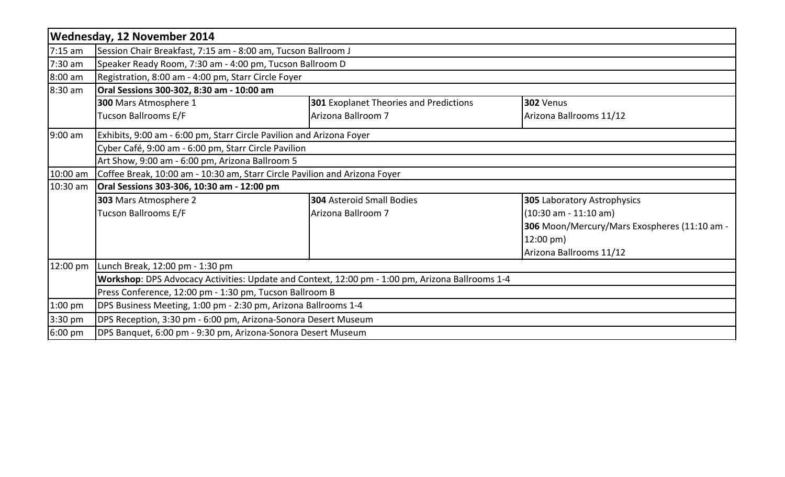|           | Wednesday, 12 November 2014                                                                      |                                               |                                              |  |
|-----------|--------------------------------------------------------------------------------------------------|-----------------------------------------------|----------------------------------------------|--|
| $7:15$ am | Session Chair Breakfast, 7:15 am - 8:00 am, Tucson Ballroom J                                    |                                               |                                              |  |
| 7:30 am   | Speaker Ready Room, 7:30 am - 4:00 pm, Tucson Ballroom D                                         |                                               |                                              |  |
| 8:00 am   | Registration, 8:00 am - 4:00 pm, Starr Circle Foyer                                              |                                               |                                              |  |
| 8:30 am   | Oral Sessions 300-302, 8:30 am - 10:00 am                                                        |                                               |                                              |  |
|           | 300 Mars Atmosphere 1                                                                            | <b>301</b> Exoplanet Theories and Predictions | 302 Venus                                    |  |
|           | Tucson Ballrooms E/F                                                                             | Arizona Ballroom 7                            | Arizona Ballrooms 11/12                      |  |
| 9:00 am   | Exhibits, 9:00 am - 6:00 pm, Starr Circle Pavilion and Arizona Foyer                             |                                               |                                              |  |
|           | Cyber Café, 9:00 am - 6:00 pm, Starr Circle Pavilion                                             |                                               |                                              |  |
|           | Art Show, 9:00 am - 6:00 pm, Arizona Ballroom 5                                                  |                                               |                                              |  |
| 10:00 am  | Coffee Break, 10:00 am - 10:30 am, Starr Circle Pavilion and Arizona Foyer                       |                                               |                                              |  |
| 10:30 am  | Oral Sessions 303-306, 10:30 am - 12:00 pm                                                       |                                               |                                              |  |
|           | 303 Mars Atmosphere 2                                                                            | <b>304</b> Asteroid Small Bodies              | <b>305 Laboratory Astrophysics</b>           |  |
|           | Tucson Ballrooms E/F                                                                             | Arizona Ballroom 7                            | $(10:30 \text{ am} - 11:10 \text{ am})$      |  |
|           |                                                                                                  |                                               | 306 Moon/Mercury/Mars Exospheres (11:10 am - |  |
|           |                                                                                                  |                                               | $12:00 \text{ pm}$                           |  |
|           |                                                                                                  |                                               | Arizona Ballrooms 11/12                      |  |
| 12:00 pm  | Lunch Break, 12:00 pm - 1:30 pm                                                                  |                                               |                                              |  |
|           | Workshop: DPS Advocacy Activities: Update and Context, 12:00 pm - 1:00 pm, Arizona Ballrooms 1-4 |                                               |                                              |  |
|           | Press Conference, 12:00 pm - 1:30 pm, Tucson Ballroom B                                          |                                               |                                              |  |
| $1:00$ pm | DPS Business Meeting, 1:00 pm - 2:30 pm, Arizona Ballrooms 1-4                                   |                                               |                                              |  |
| 3:30 pm   | DPS Reception, 3:30 pm - 6:00 pm, Arizona-Sonora Desert Museum                                   |                                               |                                              |  |
| 6:00 pm   | DPS Banquet, 6:00 pm - 9:30 pm, Arizona-Sonora Desert Museum                                     |                                               |                                              |  |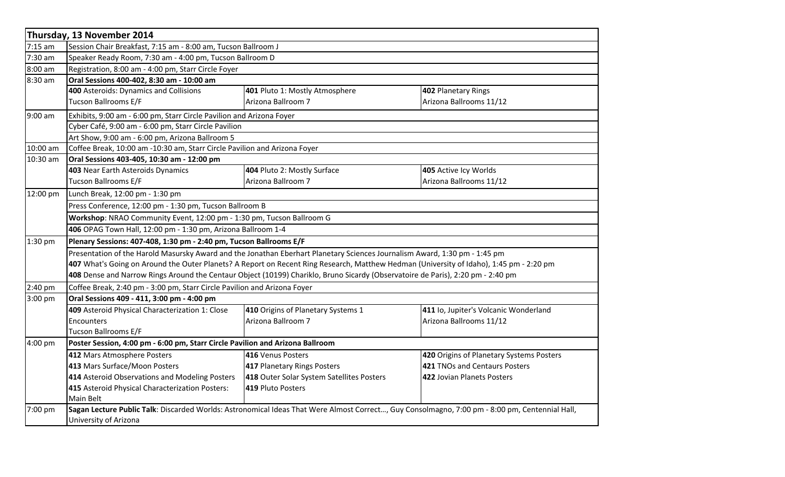|            | Thursday, 13 November 2014                                                                                                                     |                                                      |                                          |  |  |
|------------|------------------------------------------------------------------------------------------------------------------------------------------------|------------------------------------------------------|------------------------------------------|--|--|
| $7:15$ am  | Session Chair Breakfast, 7:15 am - 8:00 am, Tucson Ballroom J                                                                                  |                                                      |                                          |  |  |
| $7:30$ am  | Speaker Ready Room, 7:30 am - 4:00 pm, Tucson Ballroom D                                                                                       |                                                      |                                          |  |  |
| 8:00 am    | Registration, 8:00 am - 4:00 pm, Starr Circle Foyer                                                                                            |                                                      |                                          |  |  |
| 8:30 am    | Oral Sessions 400-402, 8:30 am - 10:00 am                                                                                                      |                                                      |                                          |  |  |
|            | 400 Asteroids: Dynamics and Collisions                                                                                                         | 401 Pluto 1: Mostly Atmosphere                       | 402 Planetary Rings                      |  |  |
|            | Tucson Ballrooms E/F                                                                                                                           | Arizona Ballroom 7                                   | Arizona Ballrooms 11/12                  |  |  |
| $9:00$ am  | Exhibits, 9:00 am - 6:00 pm, Starr Circle Pavilion and Arizona Foyer                                                                           |                                                      |                                          |  |  |
|            |                                                                                                                                                | Cyber Café, 9:00 am - 6:00 pm, Starr Circle Pavilion |                                          |  |  |
|            | Art Show, 9:00 am - 6:00 pm, Arizona Ballroom 5                                                                                                |                                                      |                                          |  |  |
| $10:00$ am | Coffee Break, 10:00 am -10:30 am, Starr Circle Pavilion and Arizona Foyer                                                                      |                                                      |                                          |  |  |
| 10:30 am   | Oral Sessions 403-405, 10:30 am - 12:00 pm                                                                                                     |                                                      |                                          |  |  |
|            | 403 Near Earth Asteroids Dynamics                                                                                                              | 404 Pluto 2: Mostly Surface                          | 405 Active Icy Worlds                    |  |  |
|            | Tucson Ballrooms E/F                                                                                                                           | Arizona Ballroom 7                                   | Arizona Ballrooms 11/12                  |  |  |
| 12:00 pm   | Lunch Break, 12:00 pm - 1:30 pm                                                                                                                |                                                      |                                          |  |  |
|            | Press Conference, 12:00 pm - 1:30 pm, Tucson Ballroom B                                                                                        |                                                      |                                          |  |  |
|            | Workshop: NRAO Community Event, 12:00 pm - 1:30 pm, Tucson Ballroom G                                                                          |                                                      |                                          |  |  |
|            | 406 OPAG Town Hall, 12:00 pm - 1:30 pm, Arizona Ballroom 1-4                                                                                   |                                                      |                                          |  |  |
| $1:30$ pm  | Plenary Sessions: 407-408, 1:30 pm - 2:40 pm, Tucson Ballrooms E/F                                                                             |                                                      |                                          |  |  |
|            | Presentation of the Harold Masursky Award and the Jonathan Eberhart Planetary Sciences Journalism Award, 1:30 pm - 1:45 pm                     |                                                      |                                          |  |  |
|            | 407 What's Going on Around the Outer Planets? A Report on Recent Ring Research, Matthew Hedman (University of Idaho), 1:45 pm - 2:20 pm        |                                                      |                                          |  |  |
|            | 408 Dense and Narrow Rings Around the Centaur Object (10199) Chariklo, Bruno Sicardy (Observatoire de Paris), 2:20 pm - 2:40 pm                |                                                      |                                          |  |  |
| 2:40 pm    | Coffee Break, 2:40 pm - 3:00 pm, Starr Circle Pavilion and Arizona Foyer                                                                       |                                                      |                                          |  |  |
| 3:00 pm    | Oral Sessions 409 - 411, 3:00 pm - 4:00 pm                                                                                                     |                                                      |                                          |  |  |
|            | 409 Asteroid Physical Characterization 1: Close                                                                                                | 410 Origins of Planetary Systems 1                   | 411 lo, Jupiter's Volcanic Wonderland    |  |  |
|            | Encounters                                                                                                                                     | Arizona Ballroom 7                                   | Arizona Ballrooms 11/12                  |  |  |
|            | Tucson Ballrooms E/F                                                                                                                           |                                                      |                                          |  |  |
| 4:00 pm    | Poster Session, 4:00 pm - 6:00 pm, Starr Circle Pavilion and Arizona Ballroom                                                                  |                                                      |                                          |  |  |
|            | 412 Mars Atmosphere Posters                                                                                                                    | 416 Venus Posters                                    | 420 Origins of Planetary Systems Posters |  |  |
|            | 413 Mars Surface/Moon Posters                                                                                                                  | 417 Planetary Rings Posters                          | 421 TNOs and Centaurs Posters            |  |  |
|            | 414 Asteroid Observations and Modeling Posters                                                                                                 | 418 Outer Solar System Satellites Posters            | 422 Jovian Planets Posters               |  |  |
|            | 415 Asteroid Physical Characterization Posters:                                                                                                | 419 Pluto Posters                                    |                                          |  |  |
|            | Main Belt                                                                                                                                      |                                                      |                                          |  |  |
| 7:00 pm    | Sagan Lecture Public Talk: Discarded Worlds: Astronomical Ideas That Were Almost Correct, Guy Consolmagno, 7:00 pm - 8:00 pm, Centennial Hall, |                                                      |                                          |  |  |
|            | University of Arizona                                                                                                                          |                                                      |                                          |  |  |